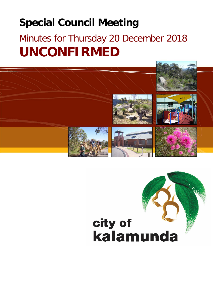# **Special Council Meeting**

# Minutes for Thursday 20 December 2018 **UNCONFIRMED**

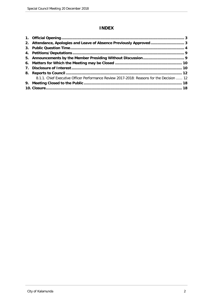# **INDEX**

| 2. Attendance, Apologies and Leave of Absence Previously Approved  3                      |  |
|-------------------------------------------------------------------------------------------|--|
|                                                                                           |  |
|                                                                                           |  |
|                                                                                           |  |
|                                                                                           |  |
|                                                                                           |  |
|                                                                                           |  |
| 8.1.1. Chief Executive Officer Performance Review 2017-2018: Reasons for the Decision  12 |  |
|                                                                                           |  |
|                                                                                           |  |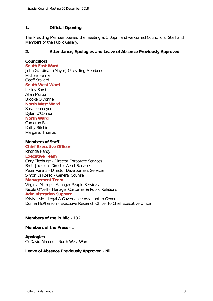# <span id="page-2-0"></span>**1. Official Opening**

The Presiding Member opened the meeting at 5.05pm and welcomed Councillors, Staff and Members of the Public Gallery.

# **2. Attendance, Apologies and Leave of Absence Previously Approved**

# **Councillors**

**South East Ward** John Giardina - (Mayor) (Presiding Member) Michael Fernie Geoff Stallard **South West Ward** Lesley Boyd Allan Morton Brooke O'Donnell

# **North West Ward**

Sara Lohmeyer Dylan O'Connor **North Ward** Cameron Blair Kathy Ritchie Margaret Thomas

### **Members of Staff**

**Chief Executive Officer** Rhonda Hardy

### **Executive Team**

Gary Ticehurst - Director Corporate Services Brett Jackson- Director Asset Services Peter Varelis - Director Development Services Simon Di Rosso - General Counsel

#### **Management Team**

Virginia Miltrup - Manager People Services Nicole O'Neill - Manager Customer & Public Relations

# **Administration Support**

Kristy Lisle - Legal & Governance Assistant to General Donna McPherson - Executive Research Officer to Chief Executive Officer

# **Members of the Public -** 186

### **Members of the Press** - 1

#### **Apologies** Cr David Almond - North West Ward

# **Leave of Absence Previously Approved** - Nil.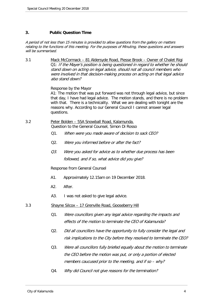# <span id="page-3-0"></span>**3. Public Question Time**

A period of not less than 15 minutes is provided to allow questions from the gallery on matters relating to the functions of this meeting. For the purposes of Minuting, these questions and answers will be summarised.

3.1 Mack McCormack – 81 Aldersyde Road, Piesse Brook – Owner of Chalet Rigi Q1: If the Mayer's position is being questioned in regard to whether he should stand down on acting on legal advice, should not all council members who were involved in that decision-making process on acting on that legal advice also stand down?

Response by the Mayor

A1: The motion that was put forward was not through legal advice, but since that day, I have had legal advice. The motion stands, and there is no problem with that. There is a technicality. What we are dealing with tonight are the reasons why. According to our General Council I cannot answer legal questions.

- 3.2 Peter Bolden 55A Snowball Road, Kalamunda. Question to the General Counsel, Simon Di Rosso
	- Q1. When were you made aware of decision to sack CEO?
	- Q2. Were you informed before or after the fact?
	- Q3. Were you asked for advice as to whether due process has been followed, and if so, what advice did you give?

Response from General Counsel

- A1. Approximately 12.15am on 19 December 2018.
- A2. After.
- A3. I was not asked to give legal advice.
- 3.3 Shayne Silcox 17 Grenville Road, Gooseberry Hill
	- Q1. Were councillors given any legal advice regarding the impacts and effects of the motion to terminate the CEO of Kalamunda?
	- Q2. Did all councillors have the opportunity to fully consider the legal and risk implications to the City before they resolved to terminate the CEO?
	- Q3. Were all councillors fully briefed equally about the motion to terminate the CEO before the motion was put, or only a portion of elected members caucused prior to the meeting, and if so – why?
	- Q4. Why did Council not give reasons for the termination?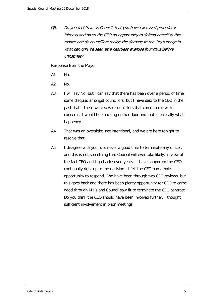Q5. Do you feel that, as Council, that you have exercised procedural fairness and given the CEO an opportunity to defend herself in this matter and do councillors realise the damage to the City's image in what can only be seen as a heartless exercise four days before Christmas?

Response from the Mayor

- A1. No.
- A2. No.
- A3. I will say No, but I can say that there has been over a period of time some disquiet amongst councillors, but I have said to the CEO in the past that if there were seven councillors that came to me with concerns, I would be knocking on her door and that is basically what happened.
- A4. That was an oversight, not intentional, and we are here tonight to resolve that.
- A5. I disagree with you, it is never a good time to terminate any officer, and this is not something that Council will ever take likely, in view of the fact CEO and I go back seven years. I have supported the CEO continually right up to the decision. I felt the CEO had ample opportunity to respond. We have been through two CEO reviews, but this goes back and there has been plenty opportunity for CEO to come good through KPI's and Council saw fit to terminate the CEO contract. Do you think the CEO should have been involved further, I thought sufficient involvement in prior meetings.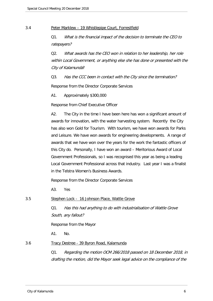#### 3.4 Peter Marklew – 19 Whistlepipe Court, Forrestfield

Q1. What is the financial impact of the decision to terminate the CEO to ratepayers?

Q2. What awards has the CEO won in relation to her leadership, her role within Local Government, or anything else she has done or presented with the City of Kalamunda?

Q3. Has the CCC been in contact with the City since the termination?

Response from the Director Corporate Services

A1. Approximately \$300,000

Response from Chief Executive Officer

A2. The City in the time I have been here has won a significant amount of awards for innovation, with the water harvesting system. Recently the City has also won Gold for Tourism. With tourism, we have won awards for Parks and Leisure. We have won awards for engineering developments. A range of awards that we have won over the years for the work the fantastic officers of this City do. Personally, I have won an award – Meritorious Award of Local Government Professionals, so I was recognised this year as being a leading Local Government Professional across that industry. Last year I was a finalist in the Telstra Women's Business Awards.

Response from the Director Corporate Services

A3. Yes

3.5 Stephen Lock - 16 Johnson Place, Wattle Grove

Q1. Has this had anything to do with industrialisation of Wattle Grove South, any fallout?

Response from the Mayor

A1. No.

# 3.6 Tracy Destree - 39 Byron Road, Kalamunda

Q1. Regarding the motion OCM 266/2018 passed on 18 December 2018, in drafting the motion, did the Mayor seek legal advice on the compliance of the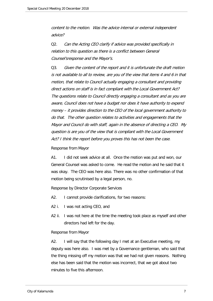content to the motion. Was the advice internal or external independent advice?

Q2. Can the Acting CEO clarify if advice was provided specifically in relation to this question as there is a conflict between General Counsel'sresponse and the Mayor's.

Q3. Given the content of the report and it is unfortunate the draft motion is not available to all to review, are you of the view that items 4 and 6 in that motion, that relate to Council actually engaging a consultant and providing direct actions on staff is in fact compliant with the Local Government Act? The questions relate to Council directly engaging a consultant and as you are aware, Council does not have a budget nor does it have authority to expend money – it provides direction to the CEO of the local government authority to do that. The other question relates to activities and engagements that the Mayor and Council do with staff, again in the absence of directing a CEO. My question is are you of the view that is compliant with the Local Government Act? I think the report before you proves this has not been the case.

Response from Mayor

A1. I did not seek advice at all. Once the motion was put and won, our General Counsel was asked to come. He read the motion and he said that it was okay. The CEO was here also. There was no other confirmation of that motion being scrutinised by a legal person, no.

Response by Director Corporate Services

- A2. I cannot provide clarifications, for two reasons:
- A2 i. I was not acting CEO, and
- A2 ii. I was not here at the time the meeting took place as myself and other directors had left for the day.

#### Response from Mayor

A2. I will say that the following day I met at an Executive meeting, my deputy was here also. I was met by a Governance gentleman, who said that the thing missing off my motion was that we had not given reasons. Nothing else has been said that the motion was incorrect, that we got about two minutes to five this afternoon.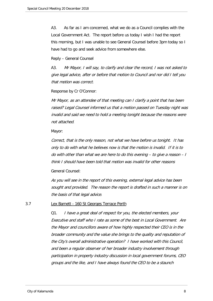A3. As far as I am concerned, what we do as a Council complies with the Local Government Act. The report before us today I wish I had the report this morning, but I was unable to see General Counsel before 3pm today so I have had to go and seek advice from somewhere else.

Reply – General Counsel

A3. Mr Mayor, I will say, to clarify and clear the record, I was not asked to give legal advice, after or before that motion to Council and nor did I tell you that motion was correct.

Response by Cr O'Connor:

Mr Mayor, as an attendee of that meeting can I clarify a point that has been raised? Legal Counsel informed us that a motion passed on Tuesday night was invalid and said we need to hold a meeting tonight because the reasons were not attached.

Mayor:

Correct, that is the only reason, not what we have before us tonight. It has only to do with what he believes now is that the motion is invalid. If it is to do with other than what we are here to do this evening – to give a reason – I think I should have been told that motion was invalid for other reasons

General Counsel:

As you will see in the report of this evening, external legal advice has been sought and provided. The reason the report is drafted in such a manner is on the basis of that legal advice.

#### 3.7 Lex Barnett - 160 St Georges Terrace Perth

Q1. I have a great deal of respect for you, the elected members, your Executive and staff who I rate as some of the best in Local Government. Are the Mayor and councillors aware of how highly respected their CEO is in the broader community and the value she brings to the quality and reputation of the City's overall administrative operation? I have worked with this Council, and been a regular observer of her broader industry involvement through participation in property industry discussion in local government forums, CEO groups and the like, and I have always found the CEO to be a staunch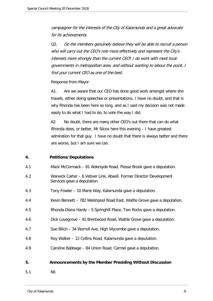<span id="page-8-0"></span>campaigner for the interests of the City of Kalamunda and a great advocate for its achievements.

Q2. Do the members genuinely believe they will be able to recruit a person who will carry out the CEO's role more effectively and represent the City's interests more strongly than the current CEO? I do work with most local governments in metropolitan area, and without wanting to labour the point, I find your current CEO as one of the best.

### Response from Mayor

A1. Are we aware that our CEO has done good work amongst where she travels, either doing speeches or presentations, I have no doubt, and that is why Rhonda has been here so long, and as I said my decision was not made easily to do what I had to do, to vote the way I did.

A2. No doubt, there are many other CEO's out there that can do what Rhonda does, or better, Mr Silcox here this evening – I have greatest admiration for that guy. I have no doubt that there is always better and there are worse, but I am sure we can.

# **4. Petitions/Deputations**

- 4.1 Mack McCormack 81 Aldersyde Road, Piesse Brook gave a deputation.
- 4.2 Warwick Carter 6 Vetiver Link, Atwell. Former Director Development Services gave a deputation.
- 4.3 Tony Fowler 10 Marie Way, Kalamunda gave a deputation.
- 4.4 Kevin Bennett 782 Welshpool Road East, Wattle Grove gave a deputation.
- 4.5 Rhonda Diana Hardy 5 Springhill Place, Two Rocks gave a deputation.
- 4.6 Dick Lovegrove 41 Brentwood Road, Wattle Grove gave a deputation.
- 4.7 Sue Bilich 34 Worrell Ave, High Wycombe gave a deputation.
- 4.8 Roy Walker 12 Collins Road, Kalamunda gave a deputation.
- 4.9 Caroline Babbage 84 Union Road, Carmel gave a deputation.

#### **5. Announcements by the Member Presiding Without Discussion**

5.1 Nil.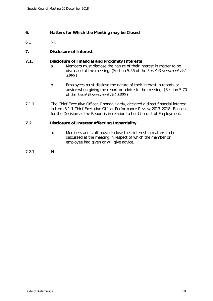# <span id="page-9-0"></span>**6. Matters for Which the Meeting may be Closed**

6.1 Nil.

# **7. Disclosure of Interest**

# **7.1. Disclosure of Financial and Proximity Interests**

- a. Members must disclose the nature of their interest in matter to be discussed at the meeting. (Section 5.56 of the Local Government Act 1995.)
- b. Employees must disclose the nature of their interest in reports or advice when giving the report or advice to the meeting. (Section 5.70 of the Local Government Act 1995.)
- 7.1.1 The Chief Executive Officer, Rhonda Hardy, declared a direct financial interest in Item 8.1.1 Chief Executive Officer Performance Review 2017-2018: Reasons for the Decision as the Report is in relation to her Contract of Employment.

# **7.2. Disclosure of Interest Affecting Impartiality**

- a. Members and staff must disclose their interest in matters to be discussed at the meeting in respect of which the member or employee had given or will give advice.
- 7.2.1 Nil.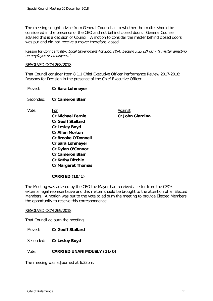The meeting sought advice from General Counsel as to whether the matter should be considered in the presence of the CEO and not behind closed doors. General Counsel advised this is a decision of Council. A motion to consider the matter behind closed doors was put and did not receive a mover therefore lapsed.

Reason for Confidentiality: Local Government Act 1995 (WA) Section 5.23 (2) (a) - "a matter affecting an employee or employees."

### RESOLVED OCM 268/2018

That Council consider Item 8.1.1 Chief Executive Officer Performance Review 2017-2018: Reasons for Decision in the presence of the Chief Executive Officer.

Moved: **Cr Sara Lohmeyer**

Seconded: **Cr Cameron Blair**

Vote: For For Against **Cr Michael Fernie Cr John Giardina Cr Geoff Stallard Cr Lesley Boyd Cr Allan Morton Cr Brooke O'Donnell Cr Sara Lohmeyer Cr Dylan O'Connor Cr Cameron Blair Cr Kathy Ritchie Cr Margaret Thomas**

# **CARRIED (10/1)**

The Meeting was advised by the CEO the Mayor had received a letter from the CEO's external legal representative and this matter should be brought to the attention of all Elected Members. A motion was put to the vote to adjourn the meeting to provide Elected Members the opportunity to receive this correspondence.

#### RESOLVED OCM 269/2018

That Council adjourn the meeting.

Moved: **Cr Geoff Stallard**

Seconded: **Cr Lesley Boyd**

Vote: **CARRIED UNANIMOUSLY (11/0)**

The meeting was adjourned at 6.33pm.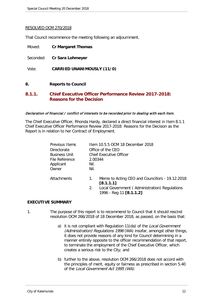#### <span id="page-11-0"></span>RESOLVED OCM 270/2018

That Council recommence the meeting following an adjournment.

| Moved:       | <b>Cr Margaret Thomas</b>                                     |
|--------------|---------------------------------------------------------------|
|              | Seconded: Cr Sara Lohmeyer                                    |
| Vote:        | <b>CARRIED UNANIMOUSLY (11/0)</b>                             |
| 8.           | <b>Reports to Council</b>                                     |
| <b>Q</b> 1 1 | <u> Chief Evecutive Officer Derformance Deview 2017-2018:</u> |

# **8.1.1. Chief Executive Officer Performance Review 2017-2018: Reasons for the Decision**

#### Declaration of financial / conflict of interests to be recorded prior to dealing with each item.

The Chief Executive Officer, Rhonda Hardy, declared a direct financial interest in Item 8.1.1 Chief Executive Officer Performance Review 2017-2018: Reasons for the Decision as the Report is in relation to her Contract of Employment.

| Previous Items       | Item 10.5.5 OCM 18 December 2018 |                                                                                                                                          |  |  |
|----------------------|----------------------------------|------------------------------------------------------------------------------------------------------------------------------------------|--|--|
| Directorate          | Office of the CEO                |                                                                                                                                          |  |  |
| <b>Business Unit</b> | <b>Chief Executive Officer</b>   |                                                                                                                                          |  |  |
| File Reference       | 2.00344                          |                                                                                                                                          |  |  |
| Applicant            | Nil.                             |                                                                                                                                          |  |  |
| Owner                | Nil.                             |                                                                                                                                          |  |  |
| <b>Attachments</b>   | 1.<br>2.                         | Memo to Acting CEO and Councillors - 19.12.2018<br>[8.1.1.1]<br>Local Government (Administration) Regulations<br>1996 - Reg 11 [8.1.1.2] |  |  |
|                      |                                  |                                                                                                                                          |  |  |

#### **EXECUTIVE SUMMARY**

- 1. The purpose of this report is to recommend to Council that it should rescind resolution OCM 266/2018 of 18 December 2018, as passed, on the basis that:
	- a) it is not compliant with Regulation 11(da) of the Local Government (Administration) Regulations 1996 (WA) insofar, amongst other things, it does not provide reasons of any kind for Council determining in a manner entirely opposite to the officer recommendation of that report, to terminate the employment of the Chief Executive Officer, which creates a serious risk to the City; and
	- b) further to the above, resolution OCM 266/2018 does not accord with the principles of merit, equity or fairness as prescribed in section 5.40 of the Local Government Act 1995 (WA).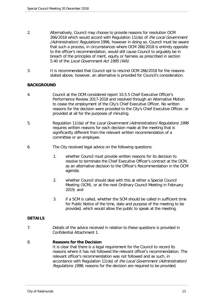- 2. Alternatively, Council may choose to provide reasons for resolution OCM 266/2018 which would accord with Regulation 11(da) of the Local Government (Administration) Regulations 1996, however in doing so, Council must be aware that such a process, in circumstances where OCM 266/2018 is entirely opposite to the officer's recommendation, would still cause Council to arguably be in breach of the principles of merit, equity or fairness as prescribed in section 5.40 of the Local Government Act 1995 (WA).
- 3. It is recommended that Council opt to rescind OCM 266/2018 for the reasons stated above, however, an alternative is provided for Council's consideration.

# **BACKGROUND**

- 4. Council at the OCM considered report 10.5.5 Chief Executive Officer's Performance Review 2017-2018 and resolved through an Alternative Motion to cease the employment of the City's Chief Executive Officer. No written reasons for the decision were provided to the City's Chief Executive Officer, or provided at all for the purposes of minuting.
- 5. Regulation 11(da) of the Local Government (Administration) Regulations 1996 requires written reasons for each decision made at the meeting that is significantly different from the relevant written recommendation of a committee or an employee.
- 6. The City received legal advice on the following questions:
	- 1. whether Council must provide written reasons for its decision to resolve to terminate the Chief Executive Officer's contract at the OCM, as an alternative decision to the Officer's Recommendation in the OCM agenda;
	- 2. whether Council should deal with this at either a Special Council Meeting (SCM), or at the next Ordinary Council Meeting in February 2019; and
	- 3. if a SCM is called, whether the SCM should be called in sufficient time for Public Notice of the time, date and purpose of the meeting to be provided, which would allow the public to speak at the meeting.

# **DETAILS**

7. Details of the advice received in relation to these questions is provided in Confidential Attachment 1.

# 8. **Reasons for the Decision**

It is clear that there is a legal requirement for the Council to record its reasons where it has not followed the relevant officer's recommendation. The relevant officer's recommendation was not followed and as such, in accordance with Regulation 11(da) of the Local Government (Administration) Regulations 1996, reasons for the decision are required to be provided.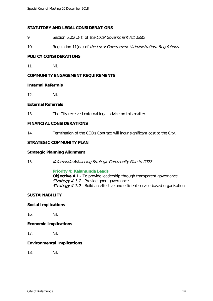# **STATUTORY AND LEGAL CONSIDERATIONS**

- 9. Section 5.25(1)(f) of the Local Government Act 1995.
- 10. Regulation 11(da) of the Local Government (Administration) Regulations.

# **POLICY CONSIDERATIONS**

11. Nil.

# **COMMUNITY ENGAGEMENT REQUIREMENTS**

# **Internal Referrals**

12. Nil.

# **External Referrals**

13. The City received external legal advice on this matter.

# **FINANCIAL CONSIDERATIONS**

14. Termination of the CEO's Contract will incur significant cost to the City.

# **STRATEGIC COMMUNITY PLAN**

# **Strategic Planning Alignment**

15. Kalamunda Advancing Strategic Community Plan to 2027

# **Priority 4: Kalamunda Leads**

**Objective 4.1** - To provide leadership through transparent governance. Strategy 4.1.1 - Provide good governance. Strategy 4.1.2 - Build an effective and efficient service-based organisation.

# **SUSTAINABILITY**

# **Social Implications**

16. Nil.

# **Economic Implications**

17. Nil.

# **Environmental Implications**

18. Nil.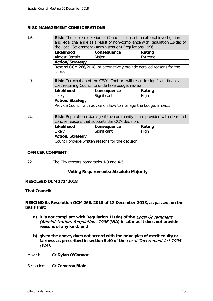# **RISK MANAGEMENT CONSIDERATIONS**

| 19. | <b>Risk:</b> The current decision of Council is subject to external investigation   |             |         |  |  |  |
|-----|-------------------------------------------------------------------------------------|-------------|---------|--|--|--|
|     | and legal challenge as a result of non-compliance with Regulation 11(da) of         |             |         |  |  |  |
|     | the Local Government (Administration) Regulations 1996.                             |             |         |  |  |  |
|     | Likelihood                                                                          | Consequence | Rating  |  |  |  |
|     | <b>Almost Certain</b>                                                               | Major       | Extreme |  |  |  |
|     | <b>Action/Strategy</b>                                                              |             |         |  |  |  |
|     | Rescind OCM 266/2018, or alternatively provide detailed reasons for the             |             |         |  |  |  |
|     | same.                                                                               |             |         |  |  |  |
|     |                                                                                     |             |         |  |  |  |
| 20. | <b>Risk:</b> Termination of the CEO's Contract will result in significant financial |             |         |  |  |  |
|     | cost requiring Council to undertake budget review.                                  |             |         |  |  |  |
|     | Likelihood                                                                          | Consequence | Rating  |  |  |  |
|     | Likely                                                                              | Significant | High    |  |  |  |
|     | <b>Action/Strategy</b>                                                              |             |         |  |  |  |
|     | Provide Council with advice on how to manage the budget impact.                     |             |         |  |  |  |
|     |                                                                                     |             |         |  |  |  |
| 21. | <b>Risk:</b> Reputational damage if the community is not provided with clear and    |             |         |  |  |  |
|     | concise reasons that supports the OCM decision.                                     |             |         |  |  |  |
|     | Likelihood                                                                          | Consequence | Rating  |  |  |  |
|     | Likely                                                                              | Significant | High    |  |  |  |
|     | <b>Action/Strategy</b>                                                              |             |         |  |  |  |

Council provide written reasons for the decision.

# **OFFICER COMMENT**

22. The City repeats paragraphs 1-3 and 4-5.

# **Voting Requirements: Absolute Majority**

# **RESOLVED OCM 271/2018**

**That Council:**

**RESCIND its Resolution OCM 266/2018 of 18 December 2018, as passed, on the basis that:**

- **a) it is not compliant with Regulation 11(da) of the** Local Government (Administration) Regulations 1996 **(WA) insofar as it does not provide reasons of any kind; and**
- **b) given the above, does not accord with the principles of merit equity or fairness as prescribed in section 5.40 of the** Local Government Act 1995 (WA)**.**

Moved: **Cr Dylan O'Connor**

Seconded: **Cr Cameron Blair**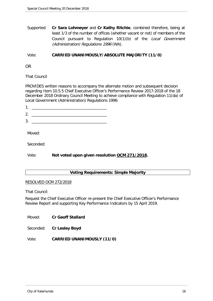Supported: **Cr Sara Lohmeyer** and **Cr Kathy Ritchie**, combined therefore, being at least 1/3 of the number of offices (whether vacant or not) of members of the Council pursuant to Regulation 10(1)(b) of the Local Government (Administration) Regulations 1996 (WA).

# Vote: **CARRIED UNANIMOUSLY/ABSOLUTE MAJORITY (11/0)**

OR

That Council

PROVIDES written reasons to accompany the alternate motion and subsequent decision regarding Item 10.5.5 Chief Executive Officer's Performance Review 2017-2018 of the 18 December 2018 Ordinary Council Meeting to achieve compliance with Regulation 11(da) of Local Government (Administration) Regulations 1996:

 $1.$   $\frac{1}{\sqrt{2}}$ 

 $2.$ 

 $3.$ 

Moved:

Seconded:

Vote: **Not voted upon given resolution OCM 271/2018.**

# **Voting Requirements: Simple Majority**

#### RESOLVED OCM 272/2018

That Council:

Request the Chief Executive Officer re-present the Chief Executive Officer's Performance Review Report and supporting Key Performance Indicators by 15 April 2019.

Moved: **Cr Geoff Stallard**

Seconded: **Cr Lesley Boyd**

Vote: **CARRIED UNANIMOUSLY (11/0)**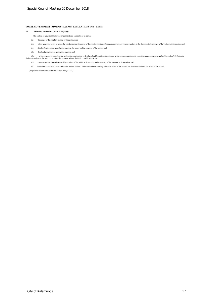#### **LOCAL GOVERNMENT (ADMINISTRATION) REGULATIONS 1996 - REG 11**

#### $11.$ Minutes, content of  $(Act s. 5.25(1)(f))$

- The content of minutes of a meeting of a council or a committee is to include  $-$
- (a) the names of the members present at the meeting; and
- $\left( b\right)$ where a member enters or leaves the meeting during the course of the meeting, the time of entry or departure, as the case requires, in the chronological sequence of the business of the meeting; and
- $(c)$ details of each motion moved at the meeting, the mover and the outcome of the motion; and
- $(d)$ details of each decision made at the meeting; and

(da) written reasons for each decision made at the meeting that is significantly different from the relevant written recommendation of a committee or an employee as defined in section 5.70 (but not a decision to only note

- (e) a summary of each question raised by members of the public at the meeting and a summary of the response to the question; and
- in relation to each disclosure made under section 5.65 or 5.70 in relation to the meeting, where the extent of the interest has also been disclosed, the extent of the interest.  $(f)$

[Regulation 11 amended in Gazette 23 Apr 1999 p. 1717.]